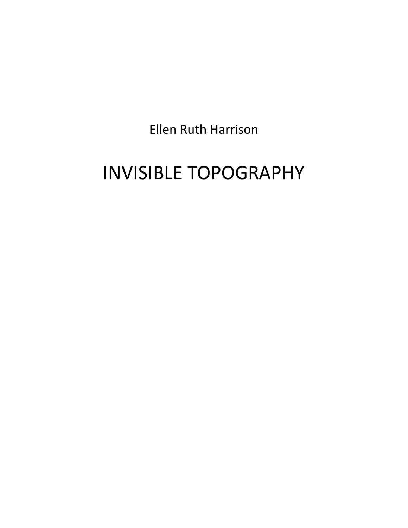Ellen Ruth Harrison

# **INVISIBLE TOPOGRAPHY**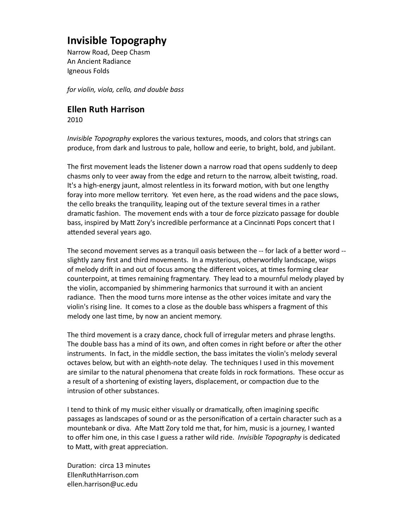### **Invisible Topography**

Narrow Road, Deep Chasm An Ancient Radiance Igneous Folds

*for violin, viola, cello, and double bass*

#### **Ellen Ruth Harrison**

2010

*Invisible Topography* explores the various textures, moods, and colors that strings can produce, from dark and lustrous to pale, hollow and eerie, to bright, bold, and jubilant.

The first movement leads the listener down a narrow road that opens suddenly to deep chasms only to veer away from the edge and return to the narrow, albeit twisting, road. It's a high-energy jaunt, almost relentless in its forward motion, with but one lengthy foray into more mellow territory. Yet even here, as the road widens and the pace slows, the cello breaks the tranquility, leaping out of the texture several times in a rather dramatic fashion. The movement ends with a tour de force pizzicato passage for double bass, inspired by Matt Zory's incredible performance at a Cincinnati Pops concert that I attended several years ago.

The second movement serves as a tranquil oasis between the -- for lack of a better word -slightly zany first and third movements. In a mysterious, otherworldly landscape, wisps of melody drift in and out of focus among the different voices, at times forming clear counterpoint, at times remaining fragmentary. They lead to a mournful melody played by the violin, accompanied by shimmering harmonics that surround it with an ancient radiance. Then the mood turns more intense as the other voices imitate and vary the violin's rising line. It comes to a close as the double bass whispers a fragment of this melody one last time, by now an ancient memory.

The third movement is a crazy dance, chock full of irregular meters and phrase lengths. The double bass has a mind of its own, and often comes in right before or after the other instruments. In fact, in the middle section, the bass imitates the violin's melody several octaves below, but with an eighth-note delay. The techniques I used in this movement are similar to the natural phenomena that create folds in rock formations. These occur as a result of a shortening of existing layers, displacement, or compaction due to the intrusion of other substances.

I tend to think of my music either visually or dramatically, often imagining specific passages as landscapes of sound or as the personification of a certain character such as a mountebank or diva. Afte Matt Zory told me that, for him, music is a journey, I wanted to offer him one, in this case I guess a rather wild ride. *Invisible Topography* is dedicated to Matt, with great appreciation.

Duration: circa 13 minutes EllenRuthHarrison.com ellen.harrison@uc.edu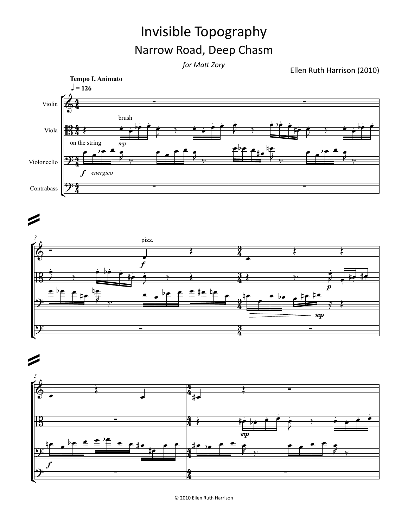## Invisible Topography Narrow Road, Deep Chasm

for Matt Zory<br>**Ellen Ruth Harrison (2010)** 







© 2010 Ellen Ruth Harrison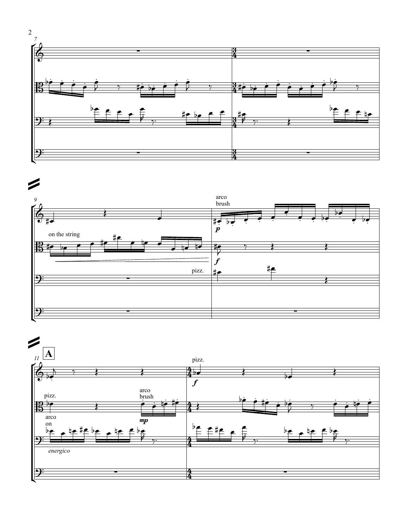



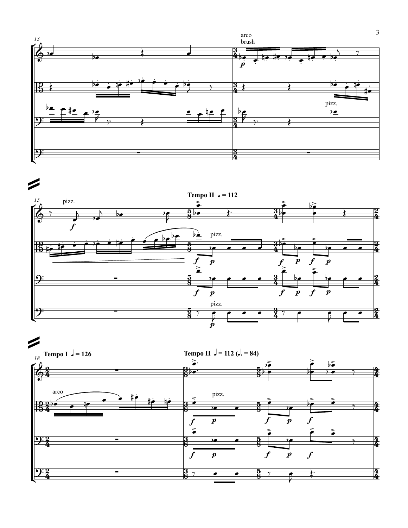



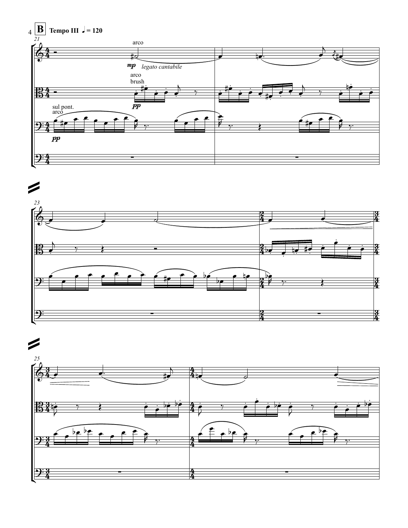



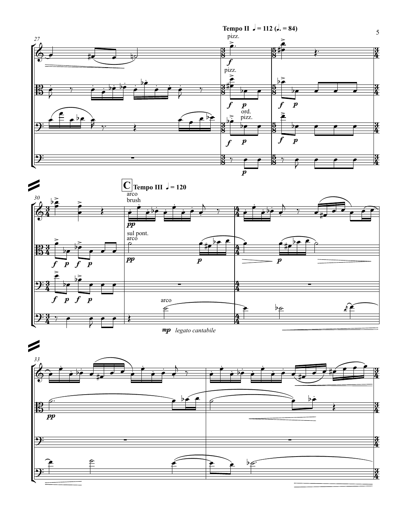



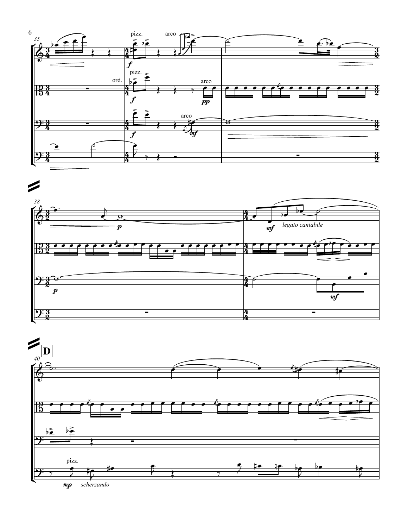



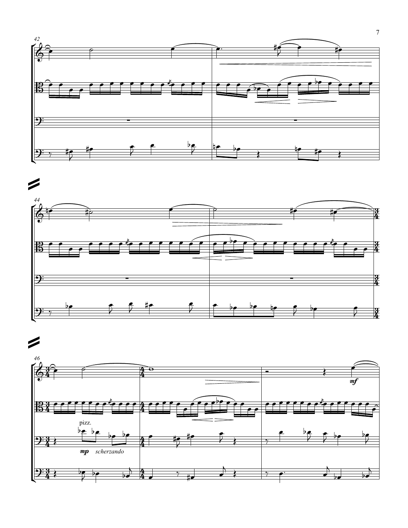



![](_page_8_Figure_2.jpeg)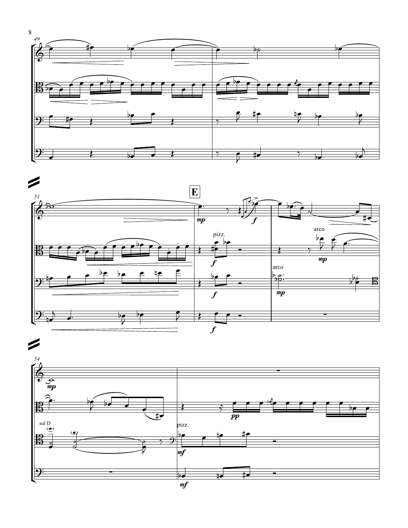![](_page_9_Figure_0.jpeg)

![](_page_9_Figure_1.jpeg)

![](_page_9_Figure_2.jpeg)

8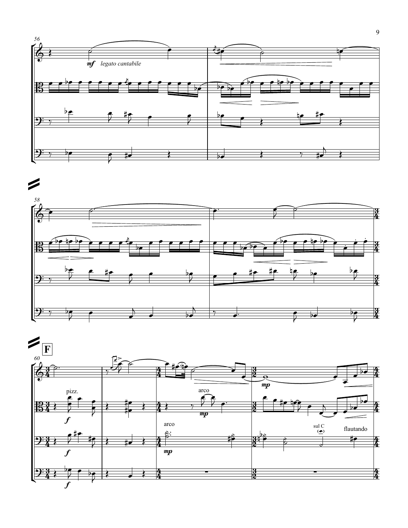![](_page_10_Figure_0.jpeg)

![](_page_10_Figure_1.jpeg)

![](_page_10_Figure_2.jpeg)

![](_page_10_Figure_3.jpeg)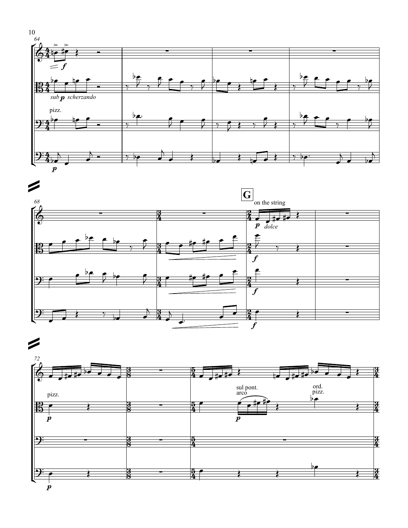![](_page_11_Figure_0.jpeg)

![](_page_11_Figure_1.jpeg)

![](_page_11_Figure_2.jpeg)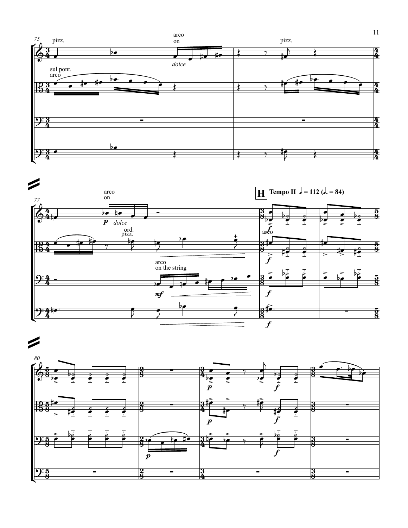![](_page_12_Figure_0.jpeg)

![](_page_12_Figure_1.jpeg)

![](_page_12_Figure_2.jpeg)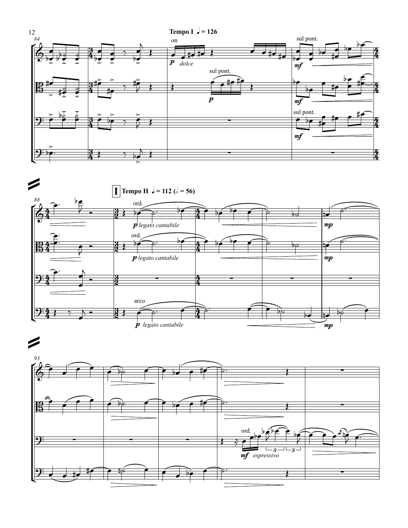![](_page_13_Figure_0.jpeg)

![](_page_13_Figure_1.jpeg)

![](_page_13_Figure_2.jpeg)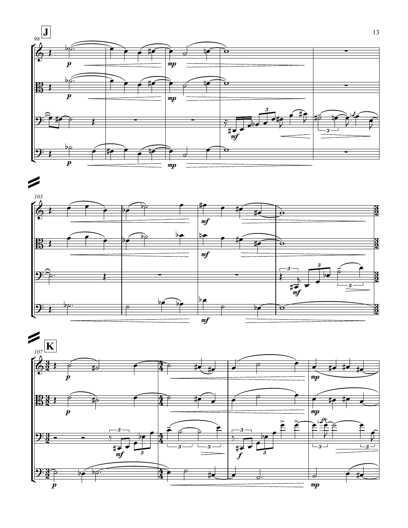![](_page_14_Figure_0.jpeg)

![](_page_14_Figure_1.jpeg)

![](_page_14_Figure_2.jpeg)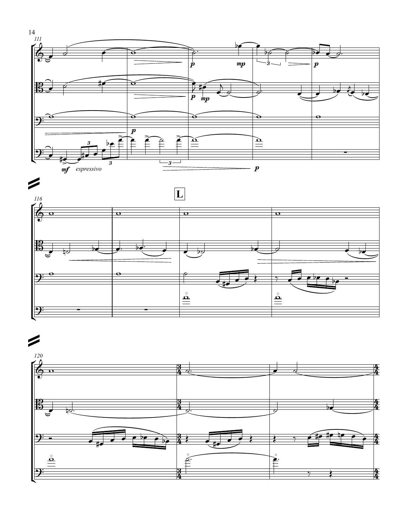![](_page_15_Figure_0.jpeg)

![](_page_15_Figure_1.jpeg)

![](_page_15_Figure_2.jpeg)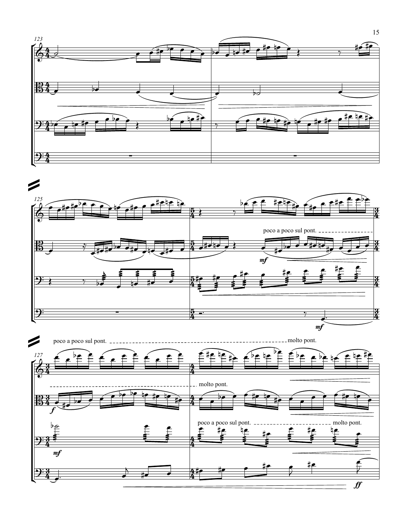![](_page_16_Figure_0.jpeg)

![](_page_16_Figure_1.jpeg)

° ¢ *127* <u>3្</u> 3<br>4 <u>3្</u> <u>วี</u><br>4 <u>3្</u> 3<br>4 <u>3្</u> <u>วี</u><br>4 4 4 4  $\frac{4}{4}$ 4  $\frac{4}{4}$ 4  $\frac{4}{4}$  $\Phi$ poco a poco sul pont. molto pont.  $\overline{\mathbb{B}}$ f molto pont.  $\overline{\mathbf{P}}$ mf poco a poco sul pont.<br>  $\begin{array}{lll}\n\bullet & \sharp\bullet & \sharp\bullet \\
\hline\n\end{array}\n\quad \begin{array}{lll}\n\bullet & \sharp\bullet & \sharp\bullet \\
\hline\n\end{array}\n\quad \begin{array}{lll}\n\bullet & \sharp\bullet & \sharp\bullet \\
\hline\n\end{array}\n\quad \begin{array}{lll}\n\bullet & \sharp\bullet & \sharp\bullet \\
\hline\n\end{array}$ <u>ዓ፡</u>  $f\hspace{-0.1cm}f$ <sup>œ</sup> <sup>œ</sup> bœ <sup>œ</sup> <sup>œ</sup> <sup>œ</sup> <sup>œ</sup> <sup>œ</sup> <sup>œ</sup> <sup>œ</sup> <sup>œ</sup> <sup>œ</sup> <sup>œ</sup> #œ nœ #œ <sup>œ</sup> bœ nœ bœ <sup>œ</sup> bœ <sup>œ</sup> bœ nœ <sup>œ</sup> nœ #œ <sup>œ</sup> #œ bœ <sup>œ</sup> <sup>œ</sup> <sup>œ</sup> bœ bœ nœ #œ nœ #œ <sup>œ</sup> <sup>œ</sup> bœ <sup>œ</sup> <sup>œ</sup> #œ nœ #œ <sup>œ</sup> <sup>œ</sup> <sup>œ</sup> <sup>œ</sup> <sup>œ</sup> #œ nœ <sup>œ</sup> æææ )<br>⊳e æææ œ æææ œ æææ æææ .....<br>#<del>.</del> ‡<br>₹ æææ #œ æææ œ æææ ≔≕<br>#<del>r</del> ‡<br>₹ ™<br>مµ æææ œ œ™ œ  $\longrightarrow$  # $e$   $\longrightarrow$  # $e$   $\longrightarrow$  # $e$   $\longrightarrow$  \$ J  $#e$   $#e$  $\overline{ }$ =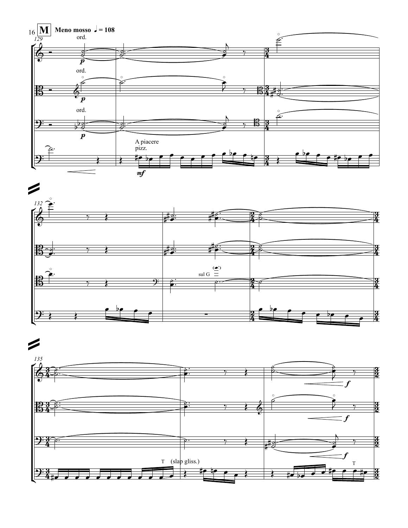![](_page_17_Figure_0.jpeg)

![](_page_17_Figure_1.jpeg)

![](_page_17_Figure_2.jpeg)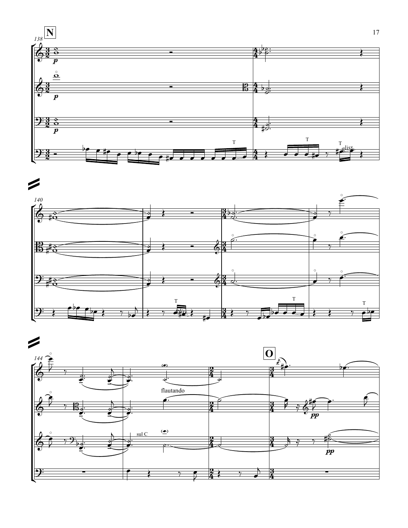![](_page_18_Figure_0.jpeg)

![](_page_18_Figure_1.jpeg)

![](_page_18_Figure_2.jpeg)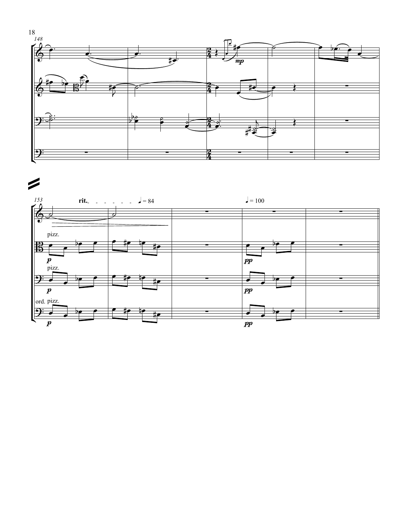![](_page_19_Figure_0.jpeg)

![](_page_19_Figure_1.jpeg)

18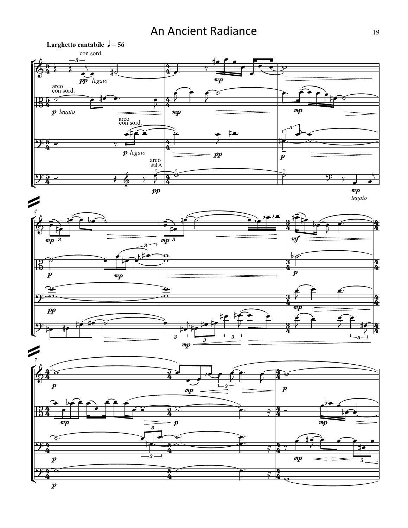## An Ancient Radiance

![](_page_20_Figure_1.jpeg)

![](_page_20_Figure_2.jpeg)

![](_page_20_Figure_3.jpeg)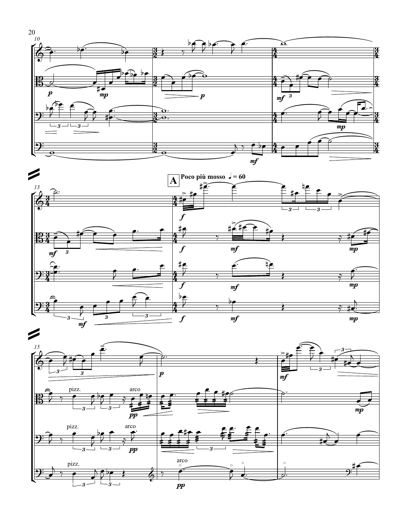![](_page_21_Figure_0.jpeg)

![](_page_21_Figure_1.jpeg)

![](_page_21_Figure_2.jpeg)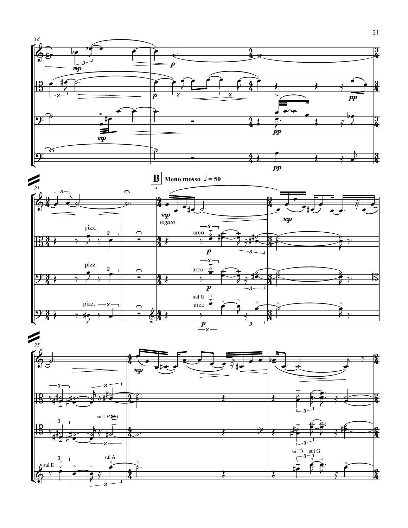![](_page_22_Figure_0.jpeg)

![](_page_22_Figure_1.jpeg)

![](_page_22_Figure_2.jpeg)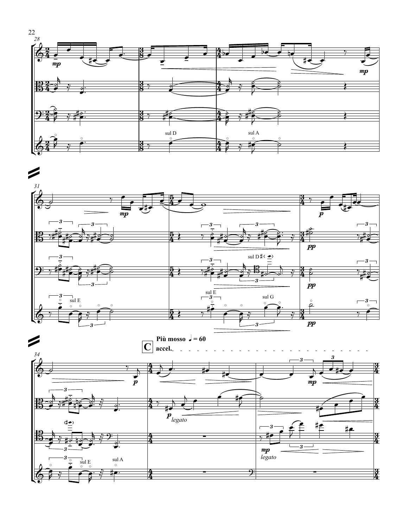![](_page_23_Figure_0.jpeg)

![](_page_23_Figure_1.jpeg)

![](_page_23_Figure_2.jpeg)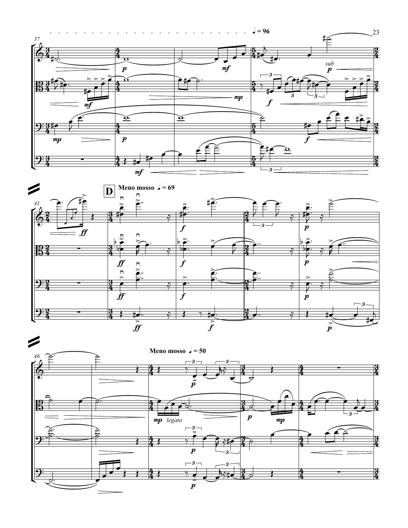![](_page_24_Figure_0.jpeg)

![](_page_24_Figure_1.jpeg)

![](_page_24_Figure_2.jpeg)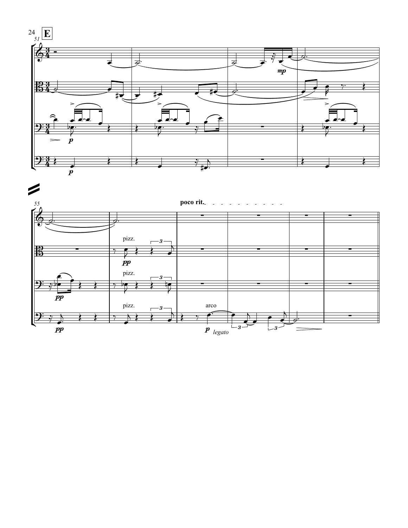![](_page_25_Figure_0.jpeg)

![](_page_25_Figure_1.jpeg)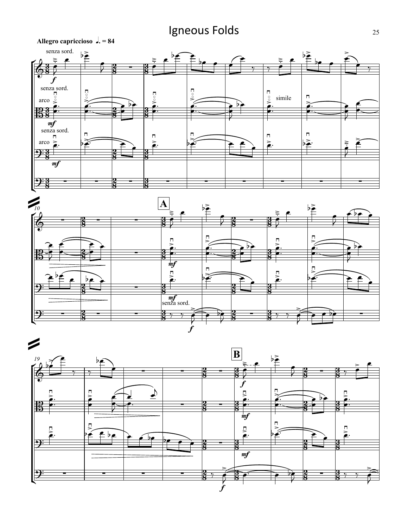Igneous Folds

![](_page_26_Figure_1.jpeg)

![](_page_26_Figure_2.jpeg)

![](_page_26_Figure_3.jpeg)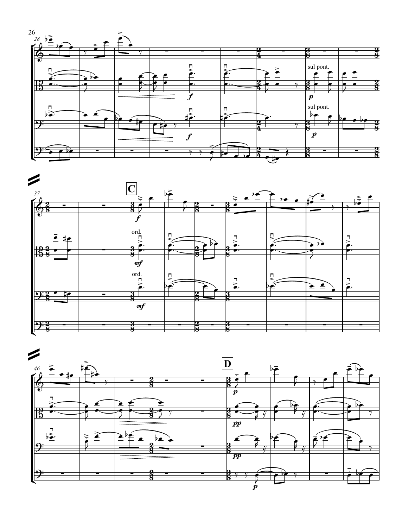![](_page_27_Figure_0.jpeg)

![](_page_27_Figure_1.jpeg)

![](_page_27_Figure_2.jpeg)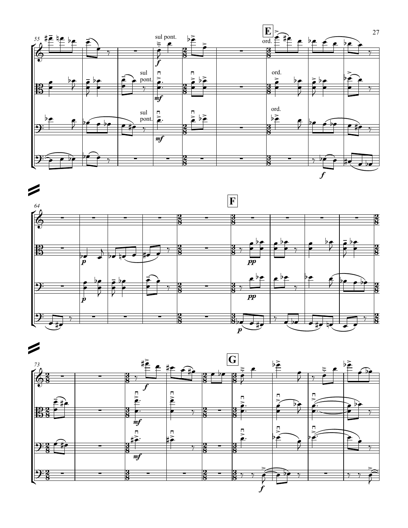![](_page_28_Figure_0.jpeg)

![](_page_28_Figure_1.jpeg)

![](_page_28_Figure_2.jpeg)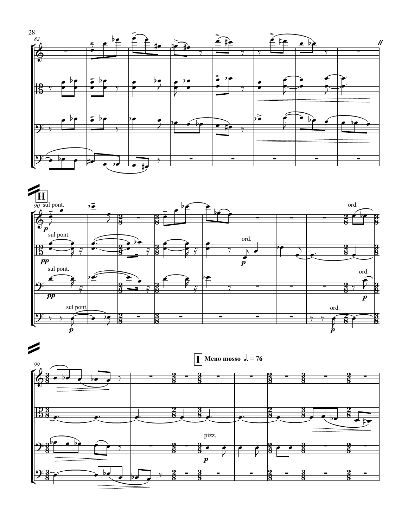![](_page_29_Figure_0.jpeg)

![](_page_29_Figure_1.jpeg)

![](_page_29_Figure_2.jpeg)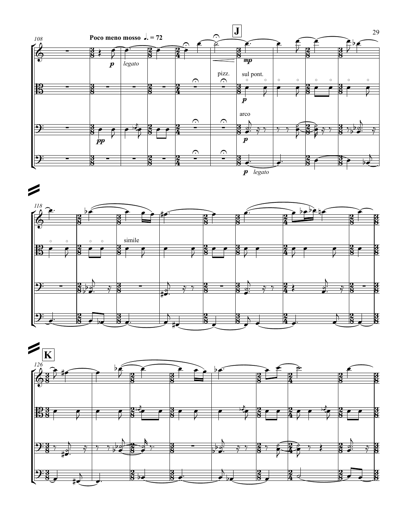![](_page_30_Figure_0.jpeg)

![](_page_30_Figure_1.jpeg)

![](_page_30_Figure_2.jpeg)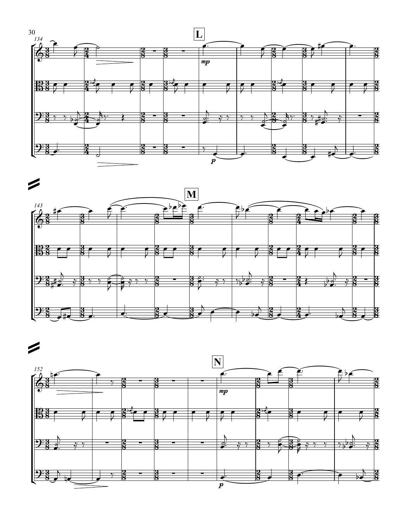![](_page_31_Figure_0.jpeg)

![](_page_31_Figure_1.jpeg)

![](_page_31_Figure_2.jpeg)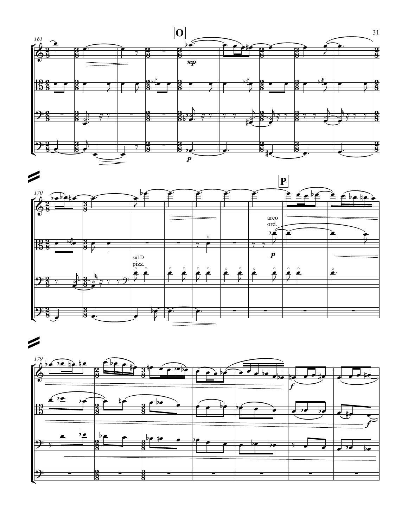![](_page_32_Figure_0.jpeg)

![](_page_32_Figure_1.jpeg)

![](_page_32_Figure_2.jpeg)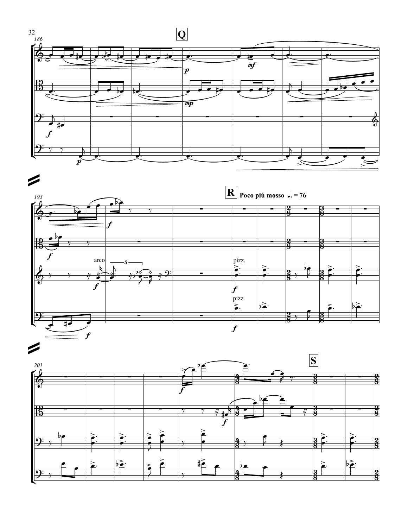![](_page_33_Figure_0.jpeg)

![](_page_33_Figure_1.jpeg)

![](_page_33_Figure_2.jpeg)

![](_page_33_Figure_3.jpeg)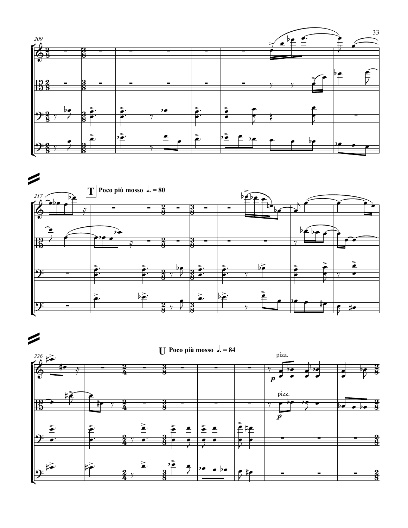![](_page_34_Figure_0.jpeg)

![](_page_34_Figure_1.jpeg)

![](_page_34_Figure_2.jpeg)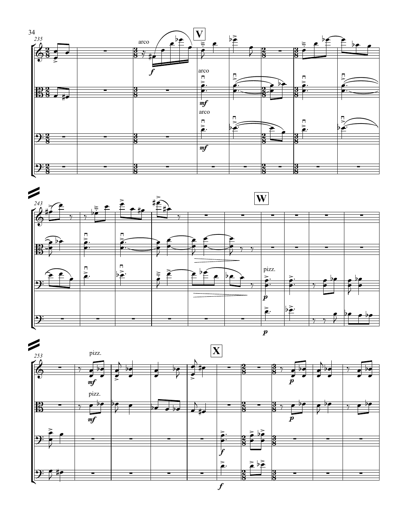![](_page_35_Figure_0.jpeg)

![](_page_35_Figure_1.jpeg)

![](_page_35_Figure_2.jpeg)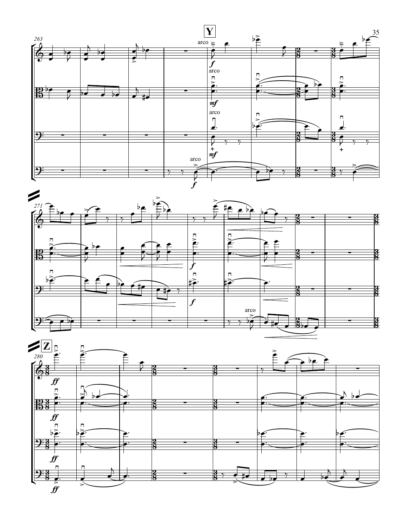![](_page_36_Figure_0.jpeg)

![](_page_36_Figure_1.jpeg)

![](_page_36_Figure_2.jpeg)